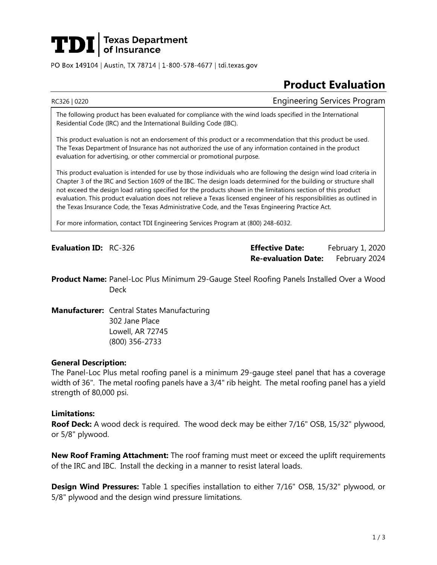# **TDI** Jexas Department

PO Box 149104 | Austin, TX 78714 | 1-800-578-4677 | tdi.texas.gov

## **Product Evaluation**

RC326 | 0220 Engineering Services Program

The following product has been evaluated for compliance with the wind loads specified in the International Residential Code (IRC) and the International Building Code (IBC).

This product evaluation is not an endorsement of this product or a recommendation that this product be used. The Texas Department of Insurance has not authorized the use of any information contained in the product evaluation for advertising, or other commercial or promotional purpose.

This product evaluation is intended for use by those individuals who are following the design wind load criteria in Chapter 3 of the IRC and Section 1609 of the IBC. The design loads determined for the building or structure shall not exceed the design load rating specified for the products shown in the limitations section of this product evaluation. This product evaluation does not relieve a Texas licensed engineer of his responsibilities as outlined in the Texas Insurance Code, the Texas Administrative Code, and the Texas Engineering Practice Act.

For more information, contact TDI Engineering Services Program at (800) 248-6032.

**Evaluation ID:** RC-326 **Effective Date:** February 1, 2020 **Re-evaluation Date:** February 2024

**Product Name:** Panel-Loc Plus Minimum 29-Gauge Steel Roofing Panels Installed Over a Wood Deck

**Manufacturer:** Central States Manufacturing 302 Jane Place Lowell, AR 72745 (800) 356-2733

#### **General Description:**

The Panel-Loc Plus metal roofing panel is a minimum 29-gauge steel panel that has a coverage width of 36". The metal roofing panels have a 3/4" rib height. The metal roofing panel has a yield strength of 80,000 psi.

#### **Limitations:**

**Roof Deck:** A wood deck is required. The wood deck may be either 7/16" OSB, 15/32" plywood, or 5/8" plywood.

**New Roof Framing Attachment:** The roof framing must meet or exceed the uplift requirements of the IRC and IBC. Install the decking in a manner to resist lateral loads.

**Design Wind Pressures:** Table 1 specifies installation to either 7/16" OSB, 15/32" plywood, or 5/8" plywood and the design wind pressure limitations.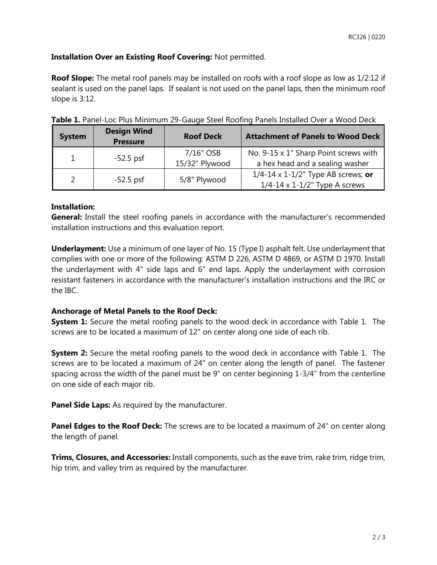### **Installation Over an Existing Roof Covering:** Not permitted.

**Roof Slope:** The metal roof panels may be installed on roofs with a roof slope as low as 1/2:12 if sealant is used on the panel laps. If sealant is not used on the panel laps, then the minimum roof slope is 3:12.

| <b>System</b> | <b>Design Wind</b><br><b>Pressure</b> | <b>Roof Deck</b>            | <b>Attachment of Panels to Wood Deck</b>                                                    |
|---------------|---------------------------------------|-----------------------------|---------------------------------------------------------------------------------------------|
| $\mathbf{1}$  | $-52.5$ psf                           | 7/16" OSB<br>15/32" Plywood | No. 9-15 x 1" Sharp Point screws with<br>a hex head and a sealing washer                    |
| $\mathcal{P}$ | $-52.5$ psf                           | 5/8" Plywood                | $1/4 - 14 \times 1 - 1/2$ " Type AB screws; or<br>$1/4 - 14 \times 1 - 1/2$ " Type A screws |

**Table 1.** Panel-Loc Plus Minimum 29-Gauge Steel Roofing Panels Installed Over a Wood Deck

#### **Installation:**

**General:** Install the steel roofing panels in accordance with the manufacturer's recommended installation instructions and this evaluation report.

**Underlayment:** Use a minimum of one layer of No. 15 (Type I) asphalt felt. Use underlayment that complies with one or more of the following: ASTM D 226, ASTM D 4869, or ASTM D 1970. Install the underlayment with 4" side laps and 6" end laps. Apply the underlayment with corrosion resistant fasteners in accordance with the manufacturer's installation instructions and the IRC or the IBC.

### **Anchorage of Metal Panels to the Roof Deck:**

**System 1:** Secure the metal roofing panels to the wood deck in accordance with Table 1. The screws are to be located a maximum of 12" on center along one side of each rib.

**System 2:** Secure the metal roofing panels to the wood deck in accordance with Table 1. The screws are to be located a maximum of 24" on center along the length of panel. The fastener spacing across the width of the panel must be 9" on center beginning 1-3/4" from the centerline on one side of each major rib.

**Panel Side Laps:** As required by the manufacturer.

**Panel Edges to the Roof Deck:** The screws are to be located a maximum of 24" on center along the length of panel.

**Trims, Closures, and Accessories:** Install components, such as the eave trim, rake trim, ridge trim, hip trim, and valley trim as required by the manufacturer.